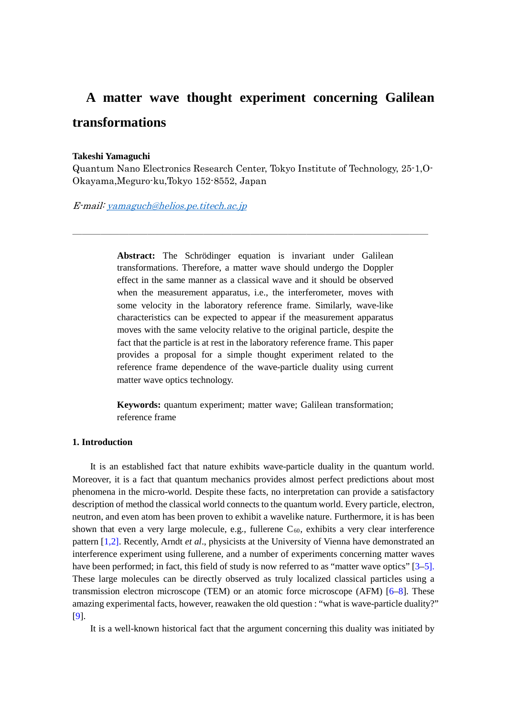# **A matter wave thought experiment concerning Galilean transformations**

### **Takeshi Yamaguchi**

Quantum Nano Electronics Research Center, Tokyo Institute of Technology, 25-1,O-Okayama,Meguro-ku,Tokyo 152-8552, Japan

\_\_\_\_\_\_\_\_\_\_\_\_\_\_\_\_\_\_\_\_\_\_\_\_\_\_\_\_\_\_\_\_\_\_\_\_\_\_

E-mail[: yamaguch@helios.pe.titech.ac.jp](mailto:yamaguch@helios.pe.titech.ac.jp)

**Abstract:** The Schrödinger equation is invariant under Galilean transformations. Therefore, a matter wave should undergo the Doppler effect in the same manner as a classical wave and it should be observed when the measurement apparatus, i.e., the interferometer, moves with some velocity in the laboratory reference frame. Similarly, wave-like characteristics can be expected to appear if the measurement apparatus moves with the same velocity relative to the original particle, despite the fact that the particle is at rest in the laboratory reference frame. This paper provides a proposal for a simple thought experiment related to the reference frame dependence of the wave-particle duality using current matter wave optics technology.

**Keywords:** quantum experiment; matter wave; Galilean transformation; reference frame

## **1. Introduction**

It is an established fact that nature exhibits wave-particle duality in the quantum world. Moreover, it is a fact that quantum mechanics provides almost perfect predictions about most phenomena in the micro-world. Despite these facts, no interpretation can provide a satisfactory description of method the classical world connects to the quantum world. Every particle, electron, neutron, and even atom has been proven to exhibit a wavelike nature. Furthermore, it is has been shown that even a very large molecule, e.g., fullerene  $C_{60}$ , exhibits a very clear interference pattern [1,2]. Recently, Arndt *et al*., physicists at the University of Vienna have demonstrated an interference experiment using fullerene, and a number of experiments concerning matter waves have been performed; in fact, this field of study is now referred to as "matter wave optics" [3–5]. These large molecules can be directly observed as truly localized classical particles using a transmission electron microscope (TEM) or an atomic force microscope (AFM) [6–8]. These amazing experimental facts, however, reawaken the old question : "what is wave-particle duality?" [9].

It is a well-known historical fact that the argument concerning this duality was initiated by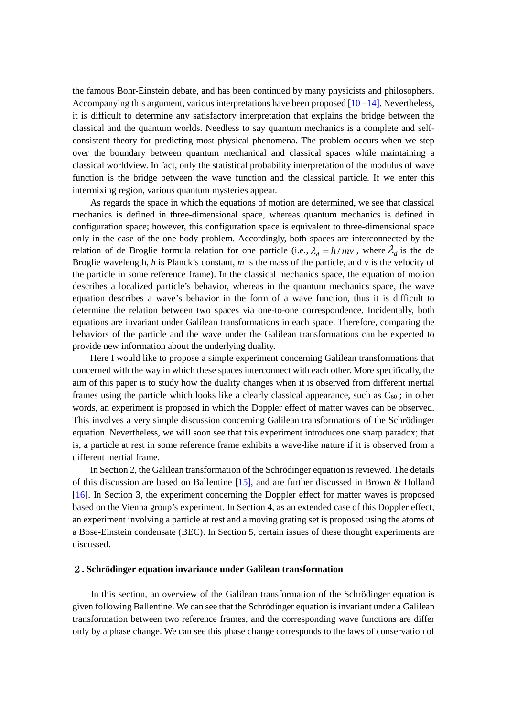the famous Bohr-Einstein debate, and has been continued by many physicists and philosophers. Accompanying this argument, various interpretations have been proposed  $[10 - 14]$ . Nevertheless, it is difficult to determine any satisfactory interpretation that explains the bridge between the classical and the quantum worlds. Needless to say quantum mechanics is a complete and selfconsistent theory for predicting most physical phenomena. The problem occurs when we step over the boundary between quantum mechanical and classical spaces while maintaining a classical worldview. In fact, only the statistical probability interpretation of the modulus of wave function is the bridge between the wave function and the classical particle. If we enter this intermixing region, various quantum mysteries appear.

As regards the space in which the equations of motion are determined, we see that classical mechanics is defined in three-dimensional space, whereas quantum mechanics is defined in configuration space; however, this configuration space is equivalent to three-dimensional space only in the case of the one body problem. Accordingly, both spaces are interconnected by the relation of de Broglie formula relation for one particle (i.e.,  $\lambda_d = h/mv$ , where  $\lambda_d$  is the de Broglie wavelength, *h* is Planck's constant, *m* is the mass of the particle, and *v* is the velocity of the particle in some reference frame). In the classical mechanics space, the equation of motion describes a localized particle's behavior, whereas in the quantum mechanics space, the wave equation describes a wave's behavior in the form of a wave function, thus it is difficult to determine the relation between two spaces via one-to-one correspondence. Incidentally, both equations are invariant under Galilean transformations in each space. Therefore, comparing the behaviors of the particle and the wave under the Galilean transformations can be expected to provide new information about the underlying duality.

Here I would like to propose a simple experiment concerning Galilean transformations that concerned with the way in which these spaces interconnect with each other. More specifically, the aim of this paper is to study how the duality changes when it is observed from different inertial frames using the particle which looks like a clearly classical appearance, such as  $C_{60}$ ; in other words, an experiment is proposed in which the Doppler effect of matter waves can be observed. This involves a very simple discussion concerning Galilean transformations of the Schrödinger equation. Nevertheless, we will soon see that this experiment introduces one sharp paradox; that is, a particle at rest in some reference frame exhibits a wave-like nature if it is observed from a different inertial frame.

In Section 2, the Galilean transformation of the Schrödinger equation is reviewed. The details of this discussion are based on Ballentine [15], and are further discussed in Brown & Holland [16]. In Section 3, the experiment concerning the Doppler effect for matter waves is proposed based on the Vienna group's experiment. In Section 4, as an extended case of this Doppler effect, an experiment involving a particle at rest and a moving grating set is proposed using the atoms of a Bose-Einstein condensate (BEC). In Section 5, certain issues of these thought experiments are discussed.

#### 2**. Schrödinger equation invariance under Galilean transformation**

In this section, an overview of the Galilean transformation of the Schrödinger equation is given following Ballentine. We can see that the Schrödinger equation is invariant under a Galilean transformation between two reference frames, and the corresponding wave functions are differ only by a phase change. We can see this phase change corresponds to the laws of conservation of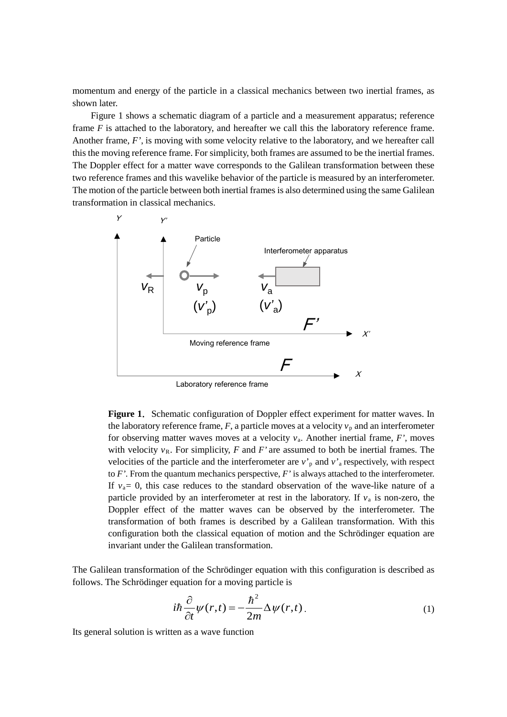momentum and energy of the particle in a classical mechanics between two inertial frames, as shown later.

Figure 1 shows a schematic diagram of a particle and a measurement apparatus; reference frame *F* is attached to the laboratory, and hereafter we call this the laboratory reference frame. Another frame, *F'*, is moving with some velocity relative to the laboratory, and we hereafter call this the moving reference frame. For simplicity, both frames are assumed to be the inertial frames. The Doppler effect for a matter wave corresponds to the Galilean transformation between these two reference frames and this wavelike behavior of the particle is measured by an interferometer. The motion of the particle between both inertial frames is also determined using the same Galilean transformation in classical mechanics.



Laboratory reference frame

Figure 1. Schematic configuration of Doppler effect experiment for matter waves. In the laboratory reference frame,  $F$ , a particle moves at a velocity  $v_p$  and an interferometer for observing matter waves moves at a velocity  $v_a$ . Another inertial frame,  $F'$ , moves with velocity  $v_R$ . For simplicity, *F* and *F'* are assumed to both be inertial frames. The velocities of the particle and the interferometer are  $v<sub>p</sub>$  and  $v<sub>a</sub>$  respectively, with respect to *F'*. From the quantum mechanics perspective, *F'* is always attached to the interferometer. If  $v_a = 0$ , this case reduces to the standard observation of the wave-like nature of a particle provided by an interferometer at rest in the laboratory. If *v*<sup>a</sup> is non-zero, the Doppler effect of the matter waves can be observed by the interferometer. The transformation of both frames is described by a Galilean transformation. With this configuration both the classical equation of motion and the Schrödinger equation are invariant under the Galilean transformation.

The Galilean transformation of the Schrödinger equation with this configuration is described as follows. The Schrödinger equation for a moving particle is

$$
i\hbar \frac{\partial}{\partial t} \psi(r,t) = -\frac{\hbar^2}{2m} \Delta \psi(r,t) \tag{1}
$$

Its general solution is written as a wave function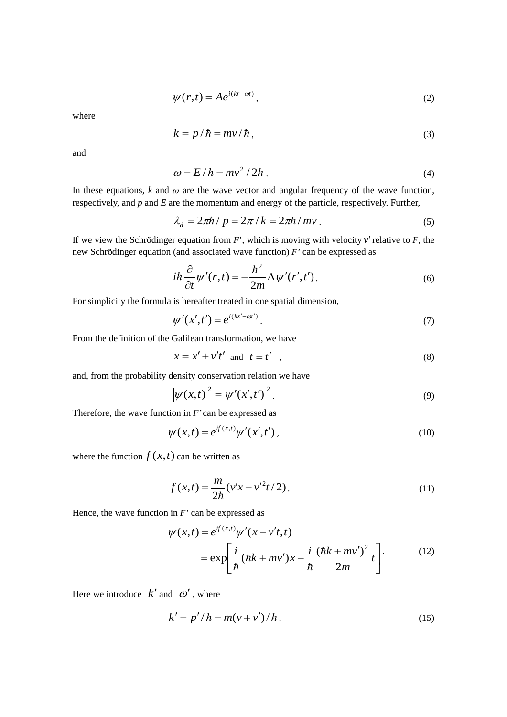$$
\psi(r,t) = Ae^{i(kr - \omega t)},\tag{2}
$$

where

$$
k = p/\hbar = mv/\hbar, \qquad (3)
$$

and

$$
\omega = E/\hbar = mv^2/2\hbar \tag{4}
$$

In these equations,  $k$  and  $\omega$  are the wave vector and angular frequency of the wave function, respectively, and *p* and *E* are the momentum and energy of the particle, respectively. Further,

$$
\lambda_d = 2\pi\hbar / p = 2\pi / k = 2\pi\hbar / mv. \tag{5}
$$

If we view the Schrödinger equation from *F*', which is moving with velocity *v*'relative to *F*, the new Schrödinger equation (and associated wave function) *F'* can be expressed as

$$
i\hbar \frac{\partial}{\partial t} \psi'(r,t) = -\frac{\hbar^2}{2m} \Delta \psi'(r',t'). \tag{6}
$$

For simplicity the formula is hereafter treated in one spatial dimension,

$$
\psi'(x',t') = e^{i(kx'-\omega t')}.
$$
\n<sup>(7)</sup>

From the definition of the Galilean transformation, we have

$$
x = x' + v't' \quad \text{and} \quad t = t' \quad , \tag{8}
$$

and, from the probability density conservation relation we have

$$
|\psi(x,t)|^2 = |\psi'(x',t')|^2.
$$
 (9)

Therefore, the wave function in *F'* can be expressed as

$$
\psi(x,t) = e^{if(x,t)} \psi'(x',t'),
$$
\n(10)

where the function  $f(x,t)$  can be written as

$$
f(x,t) = \frac{m}{2\hbar} (v'x - v'^2t/2).
$$
 (11)

Hence, the wave function in *F'* can be expressed as

$$
\psi(x,t) = e^{if(x,t)} \psi'(x - v't,t)
$$

$$
= \exp\left[\frac{i}{\hbar}(\hbar k + mv')x - \frac{i}{\hbar}\frac{(\hbar k + mv')^2}{2m}t\right].
$$
(12)

Here we introduce  $k'$  and  $\omega'$ , where

$$
k' = p'/\hbar = m(v + v')/\hbar, \qquad (15)
$$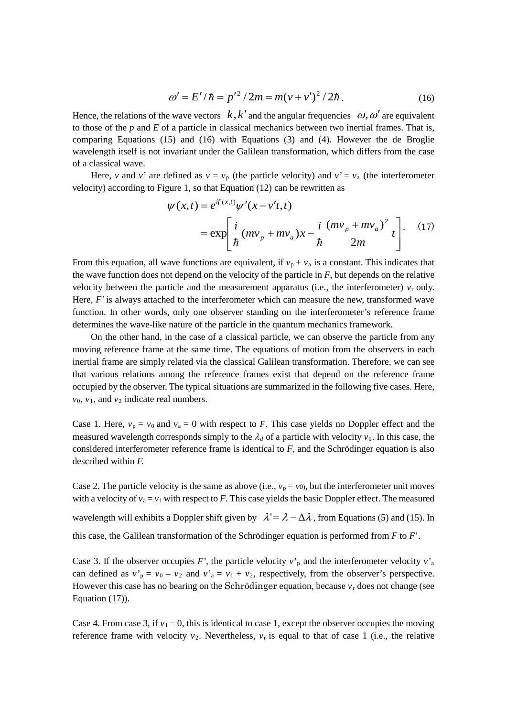$$
\omega' = E'/\hbar = p'^2 / 2m = m(v + v')^2 / 2\hbar. \tag{16}
$$

Hence, the relations of the wave vectors  $k, k'$  and the angular frequencies  $\omega, \omega'$  are equivalent to those of the *p* and *E* of a particle in classical mechanics between two inertial frames. That is, comparing Equations (15) and (16) with Equations (3) and (4). However the de Broglie wavelength itself is not invariant under the Galilean transformation, which differs from the case of a classical wave.

Here, *v* and *v'* are defined as  $v = v_p$  (the particle velocity) and  $v' = v_a$  (the interferometer velocity) according to Figure 1, so that Equation (12) can be rewritten as

$$
\psi(x,t) = e^{if(x,t)} \psi'(x - v't,t)
$$
  
=  $\exp\left[\frac{i}{\hbar}(mv_p + mv_a)x - \frac{i}{\hbar}\frac{(mv_p + mv_a)^2}{2m}t\right]$ . (17)

From this equation, all wave functions are equivalent, if  $v_p + v_a$  is a constant. This indicates that the wave function does not depend on the velocity of the particle in *F*, but depends on the relative velocity between the particle and the measurement apparatus (i.e., the interferometer)  $v_r$  only. Here, *F'* is always attached to the interferometer which can measure the new, transformed wave function. In other words, only one observer standing on the interferometer's reference frame determines the wave-like nature of the particle in the quantum mechanics framework.

On the other hand, in the case of a classical particle, we can observe the particle from any moving reference frame at the same time. The equations of motion from the observers in each inertial frame are simply related via the classical Galilean transformation. Therefore, we can see that various relations among the reference frames exist that depend on the reference frame occupied by the observer. The typical situations are summarized in the following five cases. Here,  $v_0$ ,  $v_1$ , and  $v_2$  indicate real numbers.

Case 1. Here,  $v_p = v_0$  and  $v_a = 0$  with respect to *F*. This case yields no Doppler effect and the measured wavelength corresponds simply to the  $\lambda_d$  of a particle with velocity  $v_0$ . In this case, the considered interferometer reference frame is identical to *F*, and the Schrödinger equation is also described within *F.*

Case 2. The particle velocity is the same as above (i.e.,  $v_p = v_0$ ), but the interferometer unit moves with a velocity of  $v_a = v_1$  with respect to *F*. This case yields the basic Doppler effect. The measured wavelength will exhibits a Doppler shift given by  $\lambda' = \lambda - \Delta \lambda$ , from Equations (5) and (15). In this case, the Galilean transformation of the Schrödinger equation is performed from *F* to *F*'.

Case 3. If the observer occupies *F'*, the particle velocity  $v'_{\text{p}}$  and the interferometer velocity  $v'_{\text{a}}$ can defined as  $v'_p = v_0 - v_2$  and  $v'_a = v_1 + v_2$ , respectively, from the observer's perspective. However this case has no bearing on the Schrödinger equation, because  $v_r$  does not change (see Equation (17)).

Case 4. From case 3, if  $v_1 = 0$ , this is identical to case 1, except the observer occupies the moving reference frame with velocity  $v_2$ . Nevertheless,  $v_r$  is equal to that of case 1 (i.e., the relative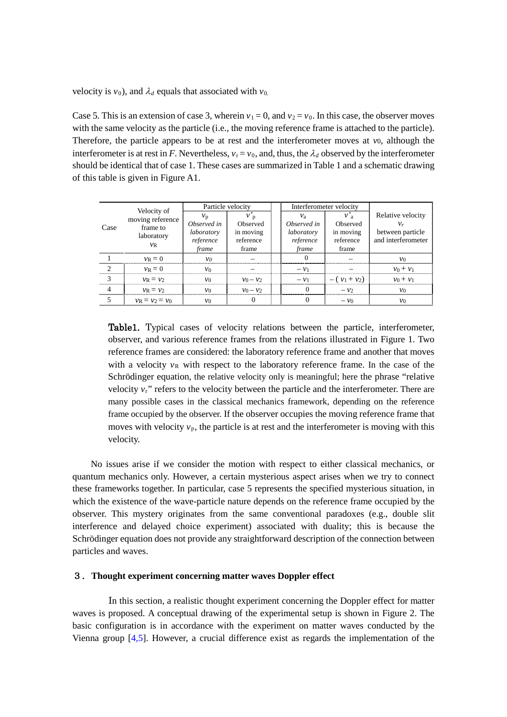velocity is  $v_0$ ), and  $\lambda_d$  equals that associated with  $v_0$ .

Case 5. This is an extension of case 3, wherein  $v_1 = 0$ , and  $v_2 = v_0$ . In this case, the observer moves with the same velocity as the particle (i.e., the moving reference frame is attached to the particle). Therefore, the particle appears to be at rest and the interferometer moves at *v*0, although the interferometer is at rest in *F*. Nevertheless,  $v_r = v_0$ , and, thus, the  $\lambda_d$  observed by the interferometer should be identical that of case 1. These cases are summarized in Table 1 and a schematic drawing of this table is given in Figure A1.

|                | Velocity of            | Particle velocity |             |             | Interferometer velocity<br>$v_a$<br>Observed<br>in moving<br>reference<br>frame |                    |
|----------------|------------------------|-------------------|-------------|-------------|---------------------------------------------------------------------------------|--------------------|
|                | moving reference       | $v_{p}$           | $v_{p}$     | $v_a$       |                                                                                 | Relative velocity  |
| Case           | frame to<br>laboratory | Observed in       | Observed    | Observed in |                                                                                 | $v_r$              |
|                |                        | laboratory        | in moving   | laboratory  |                                                                                 | between particle   |
|                | $\nu_{\mathsf{R}}$     | reference         | reference   | reference   |                                                                                 | and interferometer |
|                |                        | frame             | frame       | frame       |                                                                                 |                    |
|                | $v_{\rm R}=0$          | $v_0$             |             | $\Omega$    |                                                                                 | $v_0$              |
| $\overline{c}$ | $v_{\rm R}=0$          | $v_0$             |             | $-\nu_1$    |                                                                                 | $v_0 + v_1$        |
| 3              | $v_R = v_2$            | $v_0$             | $v_0 - v_2$ | $-\nu_1$    | $-(v_1 + v_2)$                                                                  | $v_0 + v_1$        |
| $\overline{4}$ | $v_R = v_2$            | $v_0$             | $v_0 - v_2$ | $\Omega$    | $-\nu$                                                                          | $v_0$              |
|                | $v_R = v_2 = v_0$      | $v_0$             |             |             | $-\nu_0$                                                                        | $v_0$              |

Table1. Typical cases of velocity relations between the particle, interferometer, observer, and various reference frames from the relations illustrated in Figure 1. Two reference frames are considered: the laboratory reference frame and another that moves with a velocity  $v_R$  with respect to the laboratory reference frame. In the case of the Schrödinger equation, the relative velocity only is meaningful; here the phrase "relative velocity *v*r" refers to the velocity between the particle and the interferometer. There are many possible cases in the classical mechanics framework, depending on the reference frame occupied by the observer. If the observer occupies the moving reference frame that moves with velocity  $v_p$ , the particle is at rest and the interferometer is moving with this velocity.

No issues arise if we consider the motion with respect to either classical mechanics, or quantum mechanics only. However, a certain mysterious aspect arises when we try to connect these frameworks together. In particular, case 5 represents the specified mysterious situation, in which the existence of the wave-particle nature depends on the reference frame occupied by the observer. This mystery originates from the same conventional paradoxes (e.g., double slit interference and delayed choice experiment) associated with duality; this is because the Schrödinger equation does not provide any straightforward description of the connection between particles and waves.

#### 3.**Thought experiment concerning matter waves Doppler effect**

In this section, a realistic thought experiment concerning the Doppler effect for matter waves is proposed. A conceptual drawing of the experimental setup is shown in Figure 2. The basic configuration is in accordance with the experiment on matter waves conducted by the Vienna group [4,5]. However, a crucial difference exist as regards the implementation of the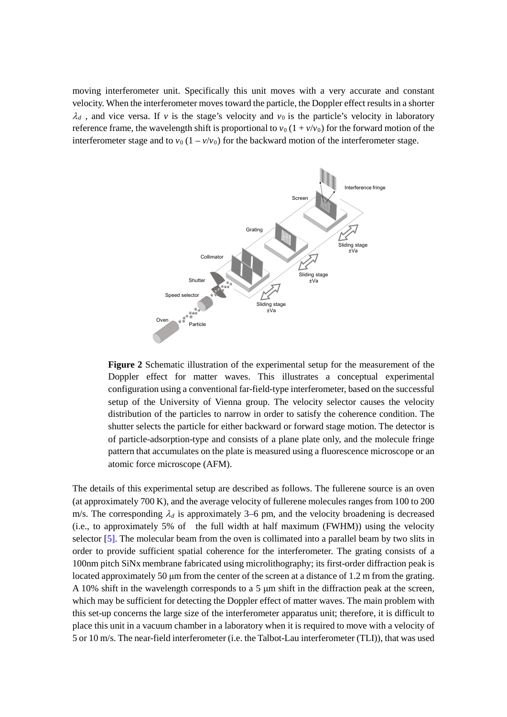moving interferometer unit. Specifically this unit moves with a very accurate and constant velocity. When the interferometer moves toward the particle, the Doppler effect resultsin a shorter  $\lambda_d$ , and vice versa. If *v* is the stage's velocity and  $v_0$  is the particle's velocity in laboratory reference frame, the wavelength shift is proportional to  $v_0$  ( $1 + v/v_0$ ) for the forward motion of the interferometer stage and to  $v_0 (1 - v/v_0)$  for the backward motion of the interferometer stage.



**Figure 2** Schematic illustration of the experimental setup for the measurement of the Doppler effect for matter waves. This illustrates a conceptual experimental configuration using a conventional far-field-type interferometer, based on the successful setup of the University of Vienna group. The velocity selector causes the velocity distribution of the particles to narrow in order to satisfy the coherence condition. The shutter selects the particle for either backward or forward stage motion. The detector is of particle-adsorption-type and consists of a plane plate only, and the molecule fringe pattern that accumulates on the plate is measured using a fluorescence microscope or an atomic force microscope (AFM).

The details of this experimental setup are described as follows. The fullerene source is an oven (at approximately 700 K), and the average velocity of fullerene molecules ranges from 100 to 200 m/s. The corresponding  $\lambda_d$  is approximately 3–6 pm, and the velocity broadening is decreased (i.e., to approximately 5% of the full width at half maximum (FWHM)) using the velocity selector [5]. The molecular beam from the oven is collimated into a parallel beam by two slits in order to provide sufficient spatial coherence for the interferometer. The grating consists of a 100nm pitch SiNx membrane fabricated using microlithography; its first-order diffraction peak is located approximately 50 μm from the center of the screen at a distance of 1.2 m from the grating. A 10% shift in the wavelength corresponds to a 5 μm shift in the diffraction peak at the screen, which may be sufficient for detecting the Doppler effect of matter waves. The main problem with this set-up concerns the large size of the interferometer apparatus unit; therefore, it is difficult to place this unit in a vacuum chamber in a laboratory when it is required to move with a velocity of 5 or 10 m/s. The near-field interferometer (i.e. the Talbot-Lau interferometer (TLI)), that was used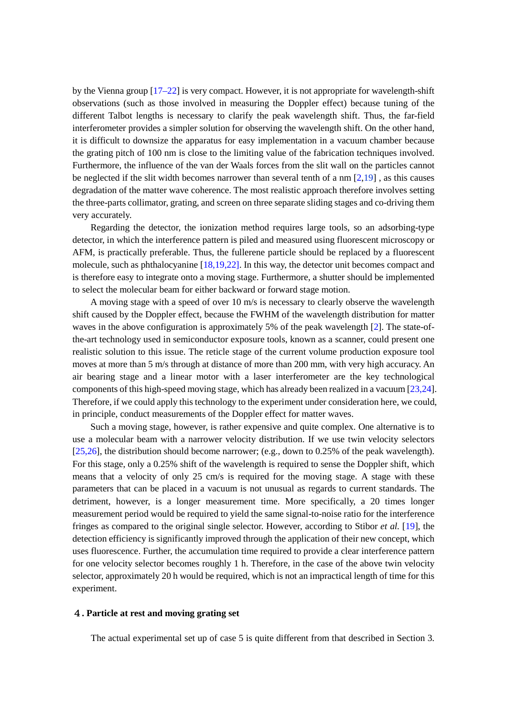by the Vienna group [17–22] is very compact. However, it is not appropriate for wavelength-shift observations (such as those involved in measuring the Doppler effect) because tuning of the different Talbot lengths is necessary to clarify the peak wavelength shift. Thus, the far-field interferometer provides a simpler solution for observing the wavelength shift. On the other hand, it is difficult to downsize the apparatus for easy implementation in a vacuum chamber because the grating pitch of 100 nm is close to the limiting value of the fabrication techniques involved. Furthermore, the influence of the van der Waals forces from the slit wall on the particles cannot be neglected if the slit width becomes narrower than several tenth of a nm  $[2,19]$ , as this causes degradation of the matter wave coherence. The most realistic approach therefore involves setting the three-parts collimator, grating, and screen on three separate sliding stages and co-driving them very accurately.

Regarding the detector, the ionization method requires large tools, so an adsorbing-type detector, in which the interference pattern is piled and measured using fluorescent microscopy or AFM, is practically preferable. Thus, the fullerene particle should be replaced by a fluorescent molecule, such as phthalocyanine [18,19,22]. In this way, the detector unit becomes compact and is therefore easy to integrate onto a moving stage. Furthermore, a shutter should be implemented to select the molecular beam for either backward or forward stage motion.

A moving stage with a speed of over 10 m/s is necessary to clearly observe the wavelength shift caused by the Doppler effect, because the FWHM of the wavelength distribution for matter waves in the above configuration is approximately 5% of the peak wavelength [2]. The state-ofthe-art technology used in semiconductor exposure tools, known as a scanner, could present one realistic solution to this issue. The reticle stage of the current volume production exposure tool moves at more than 5 m/s through at distance of more than 200 mm, with very high accuracy. An air bearing stage and a linear motor with a laser interferometer are the key technological components of this high-speed moving stage, which has already been realized in a vacuum [23,24]. Therefore, if we could apply this technology to the experiment under consideration here, we could, in principle, conduct measurements of the Doppler effect for matter waves.

Such a moving stage, however, is rather expensive and quite complex. One alternative is to use a molecular beam with a narrower velocity distribution. If we use twin velocity selectors [25,26], the distribution should become narrower; (e.g., down to 0.25% of the peak wavelength). For this stage, only a 0.25% shift of the wavelength is required to sense the Doppler shift, which means that a velocity of only 25 cm/s is required for the moving stage. A stage with these parameters that can be placed in a vacuum is not unusual as regards to current standards. The detriment, however, is a longer measurement time. More specifically, a 20 times longer measurement period would be required to yield the same signal-to-noise ratio for the interference fringes as compared to the original single selector. However, according to Stibor *et al.* [19], the detection efficiency is significantly improved through the application of their new concept, which uses fluorescence. Further, the accumulation time required to provide a clear interference pattern for one velocity selector becomes roughly 1 h. Therefore, in the case of the above twin velocity selector, approximately 20 h would be required, which is not an impractical length of time for this experiment.

### 4**. Particle at rest and moving grating set**

The actual experimental set up of case 5 is quite different from that described in Section 3.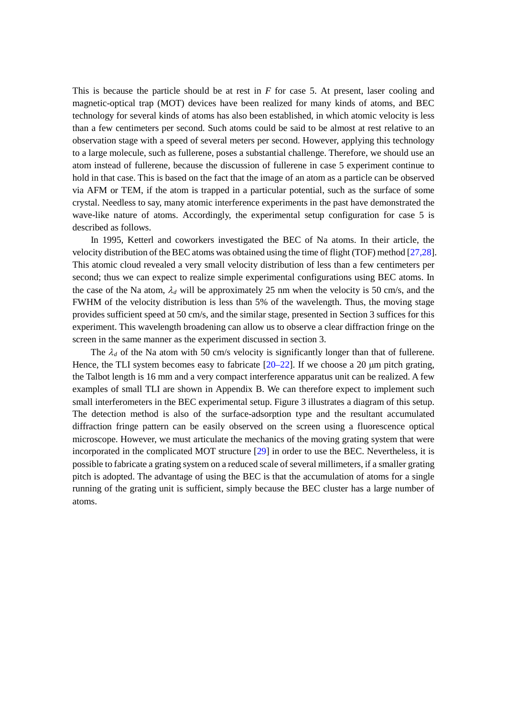This is because the particle should be at rest in *F* for case 5. At present, laser cooling and magnetic-optical trap (MOT) devices have been realized for many kinds of atoms, and BEC technology for several kinds of atoms has also been established, in which atomic velocity is less than a few centimeters per second. Such atoms could be said to be almost at rest relative to an observation stage with a speed of several meters per second. However, applying this technology to a large molecule, such as fullerene, poses a substantial challenge. Therefore, we should use an atom instead of fullerene, because the discussion of fullerene in case 5 experiment continue to hold in that case. This is based on the fact that the image of an atom as a particle can be observed via AFM or TEM, if the atom is trapped in a particular potential, such as the surface of some crystal. Needless to say, many atomic interference experiments in the past have demonstrated the wave-like nature of atoms. Accordingly, the experimental setup configuration for case 5 is described as follows.

In 1995, Ketterl and coworkers investigated the BEC of Na atoms. In their article, the velocity distribution of the BEC atoms was obtained using the time of flight (TOF) method [27,28]. This atomic cloud revealed a very small velocity distribution of less than a few centimeters per second; thus we can expect to realize simple experimental configurations using BEC atoms. In the case of the Na atom,  $\lambda_d$  will be approximately 25 nm when the velocity is 50 cm/s, and the FWHM of the velocity distribution is less than 5% of the wavelength. Thus, the moving stage provides sufficient speed at 50 cm/s, and the similar stage, presented in Section 3 suffices for this experiment. This wavelength broadening can allow us to observe a clear diffraction fringe on the screen in the same manner as the experiment discussed in section 3.

The  $\lambda_d$  of the Na atom with 50 cm/s velocity is significantly longer than that of fullerene. Hence, the TLI system becomes easy to fabricate  $[20-22]$ . If we choose a 20  $\mu$ m pitch grating, the Talbot length is 16 mm and a very compact interference apparatus unit can be realized. A few examples of small TLI are shown in Appendix B. We can therefore expect to implement such small interferometers in the BEC experimental setup. Figure 3 illustrates a diagram of this setup. The detection method is also of the surface-adsorption type and the resultant accumulated diffraction fringe pattern can be easily observed on the screen using a fluorescence optical microscope. However, we must articulate the mechanics of the moving grating system that were incorporated in the complicated MOT structure [29] in order to use the BEC. Nevertheless, it is possible to fabricate a grating system on a reduced scale of several millimeters, if a smaller grating pitch is adopted. The advantage of using the BEC is that the accumulation of atoms for a single running of the grating unit is sufficient, simply because the BEC cluster has a large number of atoms.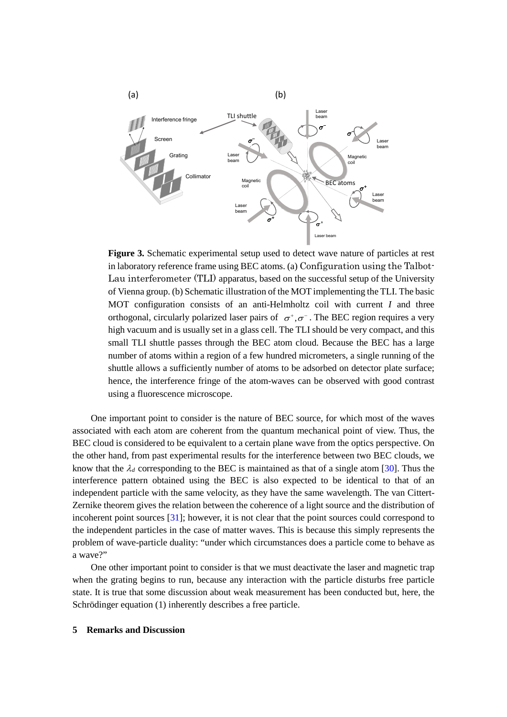

**Figure 3.** Schematic experimental setup used to detect wave nature of particles at rest in laboratory reference frame using BEC atoms. (a) Configuration using the Talbot-Lau interferometer (TLI) apparatus, based on the successful setup of the University of Vienna group. (b) Schematic illustration of the MOT implementing the TLI. The basic MOT configuration consists of an anti-Helmholtz coil with current *I* and three orthogonal, circularly polarized laser pairs of  $\sigma^+$ , $\sigma^-$ . The BEC region requires a very high vacuum and is usually set in a glass cell. The TLI should be very compact, and this small TLI shuttle passes through the BEC atom cloud. Because the BEC has a large number of atoms within a region of a few hundred micrometers, a single running of the shuttle allows a sufficiently number of atoms to be adsorbed on detector plate surface; hence, the interference fringe of the atom-waves can be observed with good contrast using a fluorescence microscope.

One important point to consider is the nature of BEC source, for which most of the waves associated with each atom are coherent from the quantum mechanical point of view. Thus, the BEC cloud is considered to be equivalent to a certain plane wave from the optics perspective. On the other hand, from past experimental results for the interference between two BEC clouds, we know that the  $\lambda_d$  corresponding to the BEC is maintained as that of a single atom [30]. Thus the interference pattern obtained using the BEC is also expected to be identical to that of an independent particle with the same velocity, as they have the same wavelength. The van Cittert-Zernike theorem gives the relation between the coherence of a light source and the distribution of incoherent point sources [31]; however, it is not clear that the point sources could correspond to the independent particles in the case of matter waves. This is because this simply represents the problem of wave-particle duality: "under which circumstances does a particle come to behave as a wave?"

One other important point to consider is that we must deactivate the laser and magnetic trap when the grating begins to run, because any interaction with the particle disturbs free particle state. It is true that some discussion about weak measurement has been conducted but, here, the Schrödinger equation (1) inherently describes a free particle.

#### **5 Remarks and Discussion**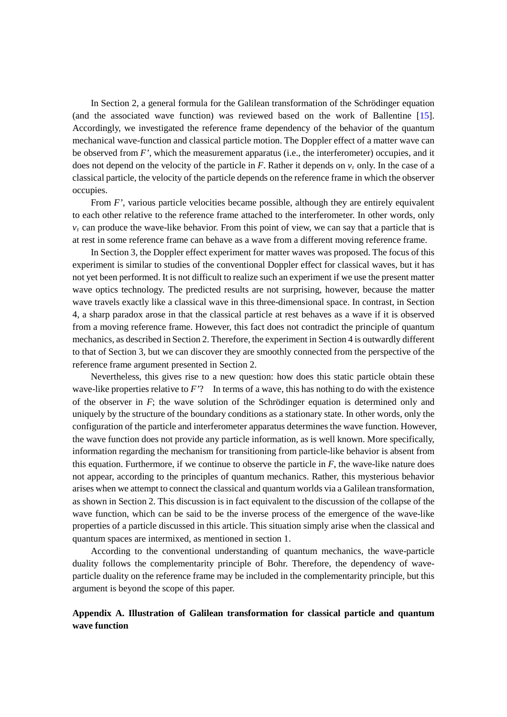In Section 2, a general formula for the Galilean transformation of the Schrödinger equation (and the associated wave function) was reviewed based on the work of Ballentine [15]. Accordingly, we investigated the reference frame dependency of the behavior of the quantum mechanical wave-function and classical particle motion. The Doppler effect of a matter wave can be observed from *F'*, which the measurement apparatus (i.e., the interferometer) occupies, and it does not depend on the velocity of the particle in  $F$ . Rather it depends on  $v_r$  only. In the case of a classical particle, the velocity of the particle depends on the reference frame in which the observer occupies.

From *F'*, various particle velocities became possible, although they are entirely equivalent to each other relative to the reference frame attached to the interferometer. In other words, only *v*<sup>r</sup> can produce the wave-like behavior. From this point of view, we can say that a particle that is at rest in some reference frame can behave as a wave from a different moving reference frame.

In Section 3, the Doppler effect experiment for matter waves was proposed. The focus of this experiment is similar to studies of the conventional Doppler effect for classical waves, but it has not yet been performed. It is not difficult to realize such an experiment if we use the present matter wave optics technology. The predicted results are not surprising, however, because the matter wave travels exactly like a classical wave in this three-dimensional space. In contrast, in Section 4, a sharp paradox arose in that the classical particle at rest behaves as a wave if it is observed from a moving reference frame. However, this fact does not contradict the principle of quantum mechanics, as described in Section 2. Therefore, the experiment in Section 4 is outwardly different to that of Section 3, but we can discover they are smoothly connected from the perspective of the reference frame argument presented in Section 2.

Nevertheless, this gives rise to a new question: how does this static particle obtain these wave-like properties relative to *F'*? In terms of a wave, this has nothing to do with the existence of the observer in *F*; the wave solution of the Schrödinger equation is determined only and uniquely by the structure of the boundary conditions as a stationary state. In other words, only the configuration of the particle and interferometer apparatus determines the wave function. However, the wave function does not provide any particle information, as is well known. More specifically, information regarding the mechanism for transitioning from particle-like behavior is absent from this equation. Furthermore, if we continue to observe the particle in *F*, the wave-like nature does not appear, according to the principles of quantum mechanics. Rather, this mysterious behavior arises when we attempt to connect the classical and quantum worlds via a Galilean transformation, as shown in Section 2. This discussion is in fact equivalent to the discussion of the collapse of the wave function, which can be said to be the inverse process of the emergence of the wave-like properties of a particle discussed in this article. This situation simply arise when the classical and quantum spaces are intermixed, as mentioned in section 1.

According to the conventional understanding of quantum mechanics, the wave-particle duality follows the complementarity principle of Bohr. Therefore, the dependency of waveparticle duality on the reference frame may be included in the complementarity principle, but this argument is beyond the scope of this paper.

# **Appendix A. Illustration of Galilean transformation for classical particle and quantum wave function**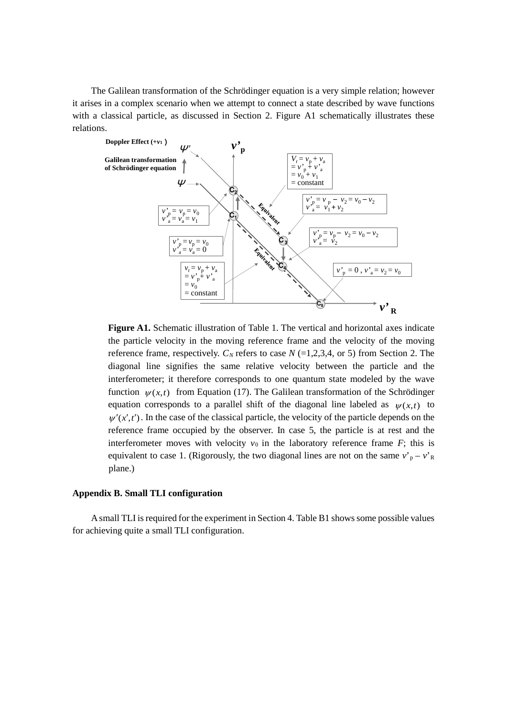The Galilean transformation of the Schrödinger equation is a very simple relation; however it arises in a complex scenario when we attempt to connect a state described by wave functions with a classical particle, as discussed in Section 2. Figure A1 schematically illustrates these relations.



**Figure A1.** Schematic illustration of Table 1. The vertical and horizontal axes indicate the particle velocity in the moving reference frame and the velocity of the moving reference frame, respectively.  $C_N$  refers to case  $N$  (=1,2,3,4, or 5) from Section 2. The diagonal line signifies the same relative velocity between the particle and the interferometer; it therefore corresponds to one quantum state modeled by the wave function  $\psi(x,t)$  from Equation (17). The Galilean transformation of the Schrödinger equation corresponds to a parallel shift of the diagonal line labeled as  $\psi(x,t)$  to  $w'(x',t')$ . In the case of the classical particle, the velocity of the particle depends on the reference frame occupied by the observer. In case 5, the particle is at rest and the interferometer moves with velocity  $v_0$  in the laboratory reference frame *F*; this is equivalent to case 1. (Rigorously, the two diagonal lines are not on the same  $v_p - v_R$ plane.)

### **Appendix B. Small TLI configuration**

A small TLI is required for the experiment in Section 4. Table B1 shows some possible values for achieving quite a small TLI configuration.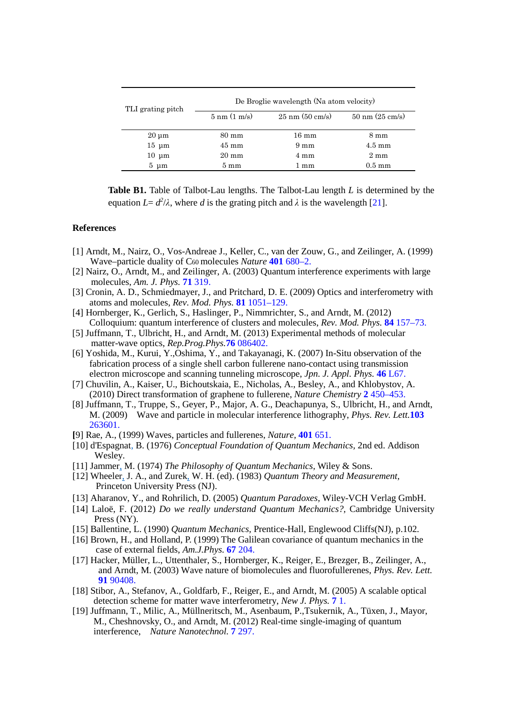| TLI grating pitch | De Broglie wavelength (Na atom velocity) |                           |                           |  |  |  |
|-------------------|------------------------------------------|---------------------------|---------------------------|--|--|--|
|                   | $5 \text{ nm}$ (1 m/s)                   | $25 \text{ nm}$ (50 cm/s) | $50 \text{ nm}$ (25 cm/s) |  |  |  |
| $20 \mu m$        | $80 \text{ mm}$                          |                           | $8 \text{ mm}$            |  |  |  |
| $15 \mu m$        | $45 \text{ mm}$                          | $9 \text{ mm}$            | $4.5 \text{ mm}$          |  |  |  |
| $10 \mu m$        | $20 \text{ mm}$                          | $4 \text{ mm}$            | $2 \text{ mm}$            |  |  |  |
| $5 \text{ \mu m}$ | $5 \text{ mm}$                           | 1 mm                      | $0.5 \text{ mm}$          |  |  |  |

**Table B1.** Table of Talbot-Lau lengths. The Talbot-Lau length *L* is determined by the equation  $L = d^2/\lambda$ , where *d* is the grating pitch and  $\lambda$  is the wavelength [21].

## **References**

- [1] Arndt, M., Nairz, O., Vos-Andreae J., Keller, C., van der Zouw, G., and Zeilinger, A. (1999) Wave–particle duality of C60 molecules *Nature* **401** 680–2.
- [2] Nairz, O., Arndt, M., and Zeilinger, A. (2003) Quantum interference experiments with large molecules, *Am. J. Phys.* **71** 319.
- [3] Cronin, A. D., Schmiedmayer, J., and Pritchard, D. E. (2009) Optics and interferometry with atoms and molecules, *Rev. Mod. Phys.* **81** 1051–129.
- [4] Hornberger, K., Gerlich, S., Haslinger, P., Nimmrichter, S., and Arndt, M. (2012) Colloquium: quantum interference of clusters and molecules, *Rev. Mod. Phys.* **84** 157–73.
- [5] Juffmann, T., Ulbricht, H., and Arndt, M. (2013) Experimental methods of molecular matter-wave optics, *Rep.Prog.Phys.***76** 086402.
- [6] Yoshida, M., Kurui, Y.,Oshima, Y., and Takayanagi, K. (2007) In-Situ observation of the fabrication process of a single shell carbon fullerene nano-contact using transmission electron microscope and scanning tunneling microscope, *Jpn. J. Appl. Phys.* **46** L67.
- [7] Chuvilin, A., Kaiser, U., Bichoutskaia, E., Nicholas, A., Besley, A., and Khlobystov, A. (2010) Direct transformation of graphene to fullerene, *Nature Chemistry* **2** 450–453.
- [8] Juffmann, T., Truppe, S., Geyer, P., Major, A. G., Deachapunya, S., Ulbricht, H., and Arndt, M. (2009) Wave and particle in molecular interference lithography, *Phys. Rev. Lett.***103**  263601.
- **[**9] Rae, A., (1999) Waves, particles and fullerenes, *Nature,* **401** 651.
- [10] [d'Espagnat,](http://en.wikipedia.org/wiki/Bernard_d%27Espagnat) B. (1976) *Conceptual Foundation of Quantum Mechanics,* 2nd ed. Addison Wesley.
- [11[\] Jammer,](http://en.wikipedia.org/wiki/Max_Jammer) M. (1974) *The Philosophy of Quantum Mechanics,* Wiley & Sons.
- [12] [Wheeler,](http://en.wikipedia.org/wiki/John_A._Wheeler) J. A., and [Zurek,](http://en.wikipedia.org/wiki/Wojciech_Hubert_Zurek) W. H. (ed). (1983) *Quantum Theory and Measurement,* Princeton University Press (NJ).
- [13] Aharanov, Y., and Rohrilich, D. (2005) *Quantum Paradoxes,* Wiley-VCH Verlag GmbH.
- [14] Laloë, F. (2012) *Do we really understand Quantum Mechanics?,* Cambridge University Press (NY).
- [15] Ballentine, L. (1990) *Quantum Mechanics,* Prentice-Hall, Englewood Cliffs(NJ), p.102.
- [16] Brown, H., and Holland, P. (1999) The Galilean covariance of quantum mechanics in the case of external fields, *Am.J.Phys.* **67** 204.
- [17] Hacker, Müller, L., Uttenthaler, S., Hornberger, K., Reiger, E., Brezger, B., Zeilinger, A., and Arndt, M. (2003) Wave nature of biomolecules and fluorofullerenes, *Phys. Rev. Lett.* **91** 90408.
- [18] Stibor, A., Stefanov, A., Goldfarb, F., Reiger, E., and Arndt, M. (2005) A scalable optical detection scheme for matter wave interferometry, *New J. Phys.* **7** 1.
- [19] Juffmann, T., Milic, A., Müllneritsch, M., Asenbaum, P.,Tsukernik, A., Tüxen, J., Mayor, M., Cheshnovsky, O., and Arndt, M. (2012) Real-time single-imaging of quantum interference, *Nature Nanotechnol.* **7** 297.